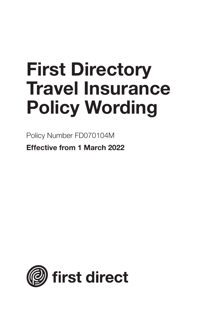# **First Directory Travel Insurance Policy Wording**

Policy Number FD070104M

**Effective from 1 March 2022**

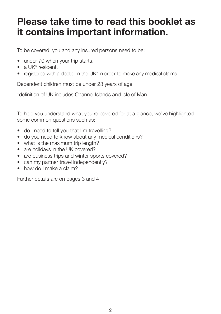# **Please take time to read this booklet as it contains important information.**

To be covered, you and any insured persons need to be:

- under 70 when your trip starts.
- a UK\* resident.
- registered with a doctor in the UK<sup>\*</sup> in order to make any medical claims.

Dependent children must be under 23 years of age.

\*definition of UK includes Channel Islands and Isle of Man

To help you understand what you're covered for at a glance, we've highlighted some common questions such as:

- do I need to tell you that I'm travelling?
- do you need to know about any medical conditions?
- what is the maximum trip length?
- are holidays in the UK covered?
- are business trips and winter sports covered?
- can my partner travel independently?
- how do I make a claim?

Further details are on pages 3 and 4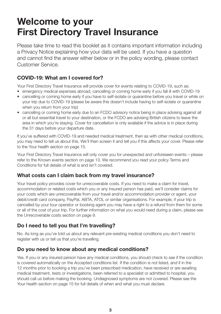# **Welcome to your First Directory Travel Insurance**

Please take time to read this booklet as it contains important information including a Privacy Notice explaining how your data will be used. If you have a question and cannot find the answer either below or in the policy wording, please contact Customer Service.

#### **COVID-19: What am I covered for?**

Your First Directory Travel Insurance will provide cover for events relating to COVID-19, such as:

- emergency medical expenses abroad, cancelling or coming home early if you fall ill with COVID-19
- cancelling or coming home early if you have to self-isolate or quarantine before you travel or while on your trip due to COVID-19 (please be aware this doesn't include having to self-isolate or quarantine when you return from your trip)
- cancelling or coming home early due to an FCDO advisory notice being in place advising against all or all but essential travel to your destination, or the FCDO are advising British citizens to leave the area in which you're staying. Cover for cancellation is only available if the advice is in place during the 31 days before your departure date.

If you've suffered with COVID-19 and needed medical treatment, then as with other medical conditions, you may need to tell us about this. We'll then screen it and tell you if this affects your cover. Please refer to the Your health section on page 15.

Your First Directory Travel Insurance will only cover you for unexpected and unforeseen events – please refer to the Known events section on page 13. We recommend you read your policy Terms and Conditions for full details of what is and isn't covered.

#### **What costs can I claim back from my travel insurance?**

Your travel policy provides cover for unrecoverable costs. If you need to make a claim for travel, accommodation or related costs which you or any insured person has paid, we'll consider claims for your costs which are unrecoverable from your travel and/or accommodation provider or agent, your debit/credit card company, PayPal, ABTA, ATOL or similar organisations. For example, if your trip is cancelled by your tour operator or booking agent you may have a right to a refund from them for some or all of the cost of your trip. For further information on what you would need during a claim, please see the Unrecoverable costs section on page 9.

#### **Do I need to tell you that I'm travelling?**

No. As long as you've told us about any relevant pre-existing medical conditions you don't need to register with us or tell us that you're travelling.

#### **Do you need to know about any medical conditions?**

Yes. If you or any insured person have any medical conditions, you should check to see if the condition is covered automatically on the Accepted conditions list. If the condition is not listed, and if in the 12 months prior to booking a trip you've been prescribed medication, have received or are awaiting medical treatment, tests or investigations, been referred to a specialist or admitted to hospital, you should call us before making the booking. Undiagnosed symptoms are not covered. Please see the Your health section on page 15 for full details of when and what you must declare.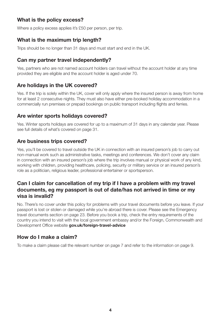#### **What is the policy excess?**

Where a policy excess applies it's £50 per person, per trip.

#### **What is the maximum trip length?**

Trips should be no longer than 31 days and must start and end in the UK.

#### **Can my partner travel independently?**

Yes, partners who are not named account holders can travel without the account holder at any time provided they are eligible and the account holder is aged under 70.

#### **Are holidays in the UK covered?**

Yes. If the trip is solely within the UK, cover will only apply where the insured person is away from home for at least 2 consecutive nights. They must also have either pre-booked holiday accommodation in a commercially run premises or prepaid bookings on public transport including flights and ferries.

#### **Are winter sports holidays covered?**

Yes. Winter sports holidays are covered for up to a maximum of 31 days in any calendar year. Please see full details of what's covered on page 31.

#### **Are business trips covered?**

Yes, you'll be covered to travel outside the UK in connection with an insured person's job to carry out non-manual work such as administrative tasks, meetings and conferences. We don't cover any claim in connection with an insured person's job where the trip involves manual or physical work of any kind, working with children, providing healthcare, policing, security or military service or an insured person's role as a politician, religious leader, professional entertainer or sportsperson.

#### **Can I claim for cancellation of my trip if I have a problem with my travel documents, eg my passport is out of date/has not arrived in time or my visa is invalid?**

No. There's no cover under this policy for problems with your travel documents before you leave. If your passport is lost or stolen or damaged while you're abroad there is cover. Please see the Emergency travel documents section on page 23. Before you book a trip, check the entry requirements of the country you intend to visit with the local government embassy and/or the Foreign, Commonwealth and Development Office website **gov.uk/foreign-travel-advice**

#### **How do I make a claim?**

To make a claim please call the relevant number on page 7 and refer to the information on page 9.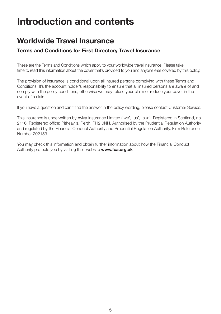# **Introduction and contents**

### **Worldwide Travel Insurance**

#### **Terms and Conditions for First Directory Travel Insurance**

These are the Terms and Conditions which apply to your worldwide travel insurance. Please take time to read this information about the cover that's provided to you and anyone else covered by this policy.

The provision of insurance is conditional upon all insured persons complying with these Terms and Conditions. It's the account holder's responsibility to ensure that all insured persons are aware of and comply with the policy conditions, otherwise we may refuse your claim or reduce your cover in the event of a claim.

If you have a question and can't find the answer in the policy wording, please contact Customer Service.

This insurance is underwritten by Aviva Insurance Limited ('we', 'us', 'our'). Registered in Scotland, no. 2116. Registered office: Pitheavlis, Perth, PH2 0NH. Authorised by the Prudential Regulation Authority and regulated by the Financial Conduct Authority and Prudential Regulation Authority. Firm Reference Number 202153.

You may check this information and obtain further information about how the Financial Conduct Authority protects you by visiting their website **www.fca.org.uk**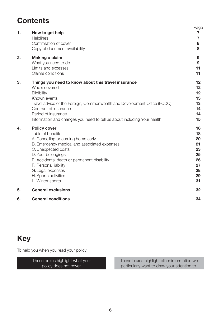### **Contents**

| 6. | <b>General conditions</b>                                                                                                                                                                                                                                                                                            | 34                                                             |
|----|----------------------------------------------------------------------------------------------------------------------------------------------------------------------------------------------------------------------------------------------------------------------------------------------------------------------|----------------------------------------------------------------|
| 5. | <b>General exclusions</b>                                                                                                                                                                                                                                                                                            | 32                                                             |
| 4. | <b>Policy cover</b><br>Table of benefits<br>A. Cancelling or coming home early<br>B. Emergency medical and associated expenses<br>C. Unexpected costs<br>D. Your belongings<br>E. Accidental death or permanent disability<br>F. Personal liability<br>G. Legal expenses<br>H. Sports activities<br>I. Winter sports | 18<br>18<br>20<br>21<br>23<br>25<br>26<br>27<br>28<br>29<br>31 |
| 3. | Things you need to know about this travel insurance<br>Who's covered<br>Eligibility<br>Known events<br>Travel advice of the Foreign, Commonwealth and Development Office (FCDO)<br>Contract of insurance<br>Period of insurance<br>Information and changes you need to tell us about including Your health           | $12 \,$<br>$12 \,$<br>$12 \,$<br>13<br>13<br>14<br>14<br>15    |
| 2. | Making a claim<br>What you need to do<br>Limits and excesses<br>Claims conditions                                                                                                                                                                                                                                    | 9<br>9<br>11<br>11                                             |
| 1. | How to get help<br>Helplines<br>Confirmation of cover<br>Copy of document availability                                                                                                                                                                                                                               | Page<br>7<br>7<br>8<br>8                                       |

### **Key**

To help you when you read your policy:

These boxes highlight what your policy does not cover.

These boxes highlight other information we particularly want to draw your attention to.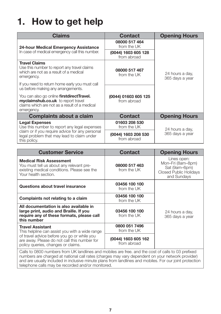# **1. How to get help**

| Claims                                                                                                                                                | <b>Contact</b>                      | <b>Opening Hours</b>               |  |
|-------------------------------------------------------------------------------------------------------------------------------------------------------|-------------------------------------|------------------------------------|--|
| 24-hour Medical Emergency Assistance                                                                                                                  | 08000 517 464<br>from the UK        |                                    |  |
| In case of medical emergency call this number.                                                                                                        | (0044) 1603 605 128<br>from abroad  |                                    |  |
| <b>Travel Claims</b><br>Use this number to report any travel claims<br>which are not as a result of a medical<br>emergency.                           | 08000 517 467<br>from the UK        | 24 hours a day.<br>365 days a year |  |
| If you need to return home early you must call<br>us before making any arrangements.                                                                  |                                     |                                    |  |
| You can also go online <b>firstdirectTravel.</b><br>myclaimshub.co.uk to report travel<br>claims which are not as a result of a medical<br>emergency. | (0044) 01603 605 125<br>from abroad |                                    |  |
| <b>Complaints about a claim</b>                                                                                                                       | <b>Contact</b>                      | <b>Opening Hours</b>               |  |
| <b>Legal Expenses</b><br>Use this number to report any legal expenses                                                                                 | 01603 208 530<br>from the UK        | 24 hours a day.                    |  |
| claim or if you require advice for any personal<br>legal problem that may lead to claim under<br>this policy.                                         | (0044) 1603 208 530<br>from abroad  | 365 days a year                    |  |

| <b>Customer Service</b>                                                                                                                           | <b>Contact</b>                     | <b>Opening Hours</b>                                                                              |  |
|---------------------------------------------------------------------------------------------------------------------------------------------------|------------------------------------|---------------------------------------------------------------------------------------------------|--|
| <b>Medical Risk Assessment</b><br>You must tell us about any relevant pre-<br>existing medical conditions. Please see the<br>Your health section. | 08000 517 463<br>from the UK       | Lines open:<br>Mon-Fri (8am-8pm)<br>Sat (9am-6pm)<br><b>Closed Public Holidays</b><br>and Sundays |  |
| Questions about travel insurance                                                                                                                  | 03456 100 100<br>from the UK       |                                                                                                   |  |
| Complaints not relating to a claim                                                                                                                | 03456 100 100<br>from the UK       | 24 hours a day.<br>365 days a year                                                                |  |
| All documentation is also available in<br>large print, audio and Braille. If you<br>require any of these formats, please call<br>this number      | 03456 100 100<br>from the UK       |                                                                                                   |  |
| <b>Travel Assistant</b><br>This helpline can assist you with a wide range                                                                         | 0800 051 7496<br>from the UK       |                                                                                                   |  |
| of travel advice before you go or while you<br>are away. Please do not call this number for<br>policy queries, changes or claims.                 | (0044) 1603 605 162<br>from abroad |                                                                                                   |  |
| Calle to 0800 numbers from LIK landlines and mobiles are free, and the cost of calls to 03 prefixed                                               |                                    |                                                                                                   |  |

vers from UK landlines and mobiles are free. and the cost of calls to 03 prefixed numbers are charged at national call rates (charges may vary dependent on your network provider) and are usually included in inclusive minute plans from landlines and mobiles. For our joint protection telephone calls may be recorded and/or monitored.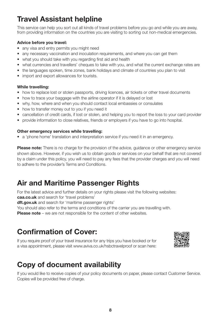### **Travel Assistant helpline**

This service can help you sort out all kinds of travel problems before you go and while you are away, from providing information on the countries you are visiting to sorting out non-medical emergencies.

#### **Advice before you travel:**

- any visa and entry permits you might need
- any necessary vaccination and inoculation requirements, and where you can get them
- what you should take with you regarding first aid and health
- what currencies and travellers' cheques to take with you, and what the current exchange rates are
- the languages spoken, time zones, bank holidays and climate of countries you plan to visit
- import and export allowances for tourists.

#### **While travelling:**

- how to replace lost or stolen passports, driving licences, air tickets or other travel documents
- how to trace your baggage with the airline operator if it is delayed or lost
- why, how, where and when you should contact local embassies or consulates
- how to transfer money out to you if you need it
- cancellation of credit cards, if lost or stolen, and helping you to report the loss to your card provider
- provide information to close relatives, friends or employers if you have to go into hospital.

#### **Other emergency services while travelling:**

• a 'phone home' translation and interpretation service if you need it in an emergency.

**Please note:** There is no charge for the provision of the advice, guidance or other emergency service shown above. However, if you wish us to obtain goods or services on your behalf that are not covered by a claim under this policy, you will need to pay any fees that the provider charges and you will need to adhere to the provider's Terms and Conditions.

### **Air and Maritime Passenger Rights**

For the latest advice and further details on your rights please visit the following websites: **caa.co.uk** and search for 'travel problems'

**dft.gov.uk** and search for 'maritime passenger rights'

You should also refer to the terms and conditions of the carrier you are travelling with.

**Please note** – we are not responsible for the content of other websites.

### **Confirmation of Cover:**

If you require proof of your travel insurance for any trips you have booked or for a visa appointment, please visit www.aviva.co.uk/hsbctravelproof or scan here:



### **Copy of document availability**

If you would like to receive copies of your policy documents on paper, please contact Customer Service. Copies will be provided free of charge.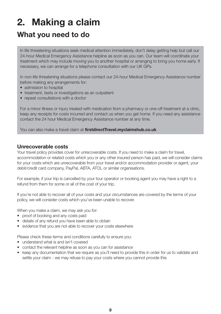# **2. Making a claim**

### **What you need to do**

In life threatening situations seek medical attention immediately, don't delay getting help but call our 24-hour Medical Emergency Assistance helpline as soon as you can. Our team will coordinate your treatment which may include moving you to another hospital or arranging to bring you home early. If necessary, we can arrange for a telephone consultation with our UK GPs.

In non-life threatening situations please contact our 24-hour Medical Emergency Assistance number before making any arrangements for:

- admission to hospital
- treatment, tests or investigations as an outpatient
- repeat consultations with a doctor

For a minor illness or injury treated with medication from a pharmacy or one-off treatment at a clinic, keep any receipts for costs incurred and contact us when you get home. If you need any assistance contact the 24 hour Medical Emergency Assistance number at any time.

You can also make a travel claim at **firstdirectTravel.myclaimshub.co.uk**

#### **Unrecoverable costs**

Your travel policy provides cover for unrecoverable costs. If you need to make a claim for travel, accommodation or related costs which you or any other insured person has paid, we will consider claims for your costs which are unrecoverable from your travel and/or accommodation provider or agent, your debit/credit card company, PayPal, ABTA, ATOL or similar organisations.

For example, if your trip is cancelled by your tour operator or booking agent you may have a right to a refund from them for some or all of the cost of your trip.

If you're not able to recover all of your costs and your circumstances are covered by the terms of your policy, we will consider costs which you've been unable to recover.

When you make a claim, we may ask you for:

- proof of booking and any costs paid
- details of any refund you have been able to obtain
- evidence that you are not able to recover your costs elsewhere

Please check these terms and conditions carefully to ensure you:

- understand what is and isn't covered
- contact the relevant helpline as soon as you can for assistance
- keep any documentation that we require as you'll need to provide this in order for us to validate and settle your claim - we may refuse to pay your costs where you cannot provide this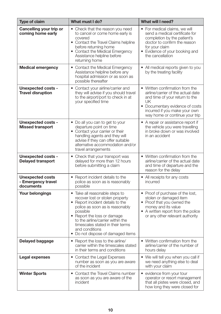| <b>Type of claim</b>                                       | What must I do?                                                                                                                                                                                                                                                                                                     | What will I need?                                                                                                                                                                                                   |
|------------------------------------------------------------|---------------------------------------------------------------------------------------------------------------------------------------------------------------------------------------------------------------------------------------------------------------------------------------------------------------------|---------------------------------------------------------------------------------------------------------------------------------------------------------------------------------------------------------------------|
| Cancelling your trip or<br>coming home early               | • Check that the reason you need<br>to cancel or come home early is<br>covered<br>• Contact the Travel Claims helpline<br>before returning home<br>• Contact the Medical Emergency<br>Assistance helpline before<br>returning home                                                                                  | • For medical claims, we will<br>send a medical certificate for<br>completion by the patient's<br>doctor to confirm the reason<br>for your claim<br>• Evidence of your booking and<br>the cancellation              |
| <b>Medical emergency</b>                                   | • Contact the Medical Emergency<br>Assistance helpline before any<br>hospital admission or as soon as<br>possible thereafter                                                                                                                                                                                        | • All medical reports given to you<br>by the treating facility                                                                                                                                                      |
| <b>Unexpected costs -</b><br><b>Travel disruption</b>      | • Contact your airline/carrier and<br>they will advise if you should travel<br>to the airport/port to check in at<br>your specified time                                                                                                                                                                            | • Written confirmation from the<br>airline/carrier of the actual date<br>and time of your return to the<br>UK<br>• Documentary evidence of costs<br>incurred if you make your own<br>way home or continue your trip |
| <b>Unexpected costs -</b><br><b>Missed transport</b>       | • Do all you can to get to your<br>departure point on time<br>• Contact your carrier or their<br>handling agents and they will<br>advise if they can offer suitable<br>alternative accommodation and/or<br>travel arrangements                                                                                      | • A repair or assistance report if<br>the vehicle you were travelling<br>in broke down or was involved<br>in an accident                                                                                            |
| <b>Unexpected costs -</b><br><b>Delayed transport</b>      | • Check that your transport was<br>delayed for more than 12 hours<br>before submitting a claim                                                                                                                                                                                                                      | • Written confirmation from the<br>airline/carrier of the actual date<br>and time of departure and the<br>reason for the delay                                                                                      |
| <b>Unexpected costs</b><br>- Emergency travel<br>documents | • Report incident details to the<br>police as soon as is reasonably<br>possible                                                                                                                                                                                                                                     | • All receipts for any costs<br>incurred                                                                                                                                                                            |
| Your belongings                                            | • Take all reasonable steps to<br>recover lost or stolen property<br>• Report incident details to the<br>police as soon as is reasonably<br>possible<br>• Report the loss or damage<br>to the airline/carrier within the<br>timescales stated in their terms<br>and conditions<br>• Do not dispose of damaged items | • Proof of purchase of the lost,<br>stolen or damaged item<br>• Proof that you owned the<br>money and its value<br>• A written report from the police<br>or any other relevant authority                            |
| Delayed baggage                                            | • Report the loss to the airline/<br>carrier within the timescales stated<br>in their terms and conditions                                                                                                                                                                                                          | • Written confirmation from the<br>airline/carrier of the number of<br>hours delay                                                                                                                                  |
| Legal expenses                                             | • Contact the Legal Expenses<br>number as soon as you are aware<br>of the incident                                                                                                                                                                                                                                  | • We will tell you when you call if<br>we need anything else to deal<br>with your claim                                                                                                                             |
| <b>Winter Sports</b>                                       | • Contact the Travel Claims number<br>as soon as you are aware of the<br>incident                                                                                                                                                                                                                                   | • evidence from your tour<br>operator or resort management<br>that all pistes were closed, and<br>how long they were closed for                                                                                     |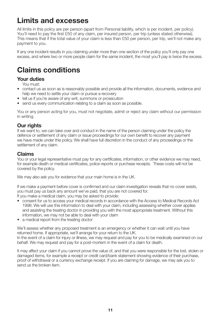### **Limits and excesses**

All limits in this policy are per person (apart from Personal liability, which is per incident, per policy). You'll need to pay the first £50 of any claim, per insured person, per trip (unless stated otherwise). This means that if the total value of your claim is less than £50 per person, per trip, we'll not make any payment to you.

If any one incident results in you claiming under more than one section of the policy you'll only pay one excess, and where two or more people claim for the same incident, the most you'll pay is twice the excess.

### **Claims conditions**

#### **Your duties**

You must:

- contact us as soon as is reasonably possible and provide all the information, documents, evidence and help we need to settle your claim or pursue a recovery
- tell us if you're aware of any writ, summons or prosecution
- send us every communication relating to a claim as soon as possible.

You or any person acting for you, must not negotiate, admit or reject any claim without our permission in writing.

#### **Our rights**

If we want to, we can take over and conduct in the name of the person claiming under the policy the defence or settlement of any claim or issue proceedings for our own benefit to recover any payment we have made under this policy. We shall have full discretion in the conduct of any proceedings or the settlement of any claim.

#### **Claims**

You or your legal representative must pay for any certificates, information, or other evidence we may need, for example death or medical certificates, police reports or purchase receipts. These costs will not be covered by the policy.

We may also ask you for evidence that your main home is in the UK.

If we make a payment before cover is confirmed and our claim investigation reveals that no cover exists, you must pay us back any amount we've paid, that you are not covered for. If you make a medical claim, you may be asked to provide:

- consent for us to access your medical records in accordance with the Access to Medical Records Act 1998. We will use this information to deal with your claim, including assessing whether cover applies and assisting the treating doctor in providing you with the most appropriate treatment. Without this information, we may not be able to deal with your claim
- a medical report from the treating doctor

We'll assess whether any proposed treatment is an emergency or whether it can wait until you have returned home. If appropriate, we'll arrange for your return to the UK. In the event of a claim for injury or illness, we may request and pay for you to be medically examined on our behalf. We may request and pay for a post-mortem in the event of a claim for death.

It may affect your claim if you cannot prove the value of, and that you were responsible for the lost, stolen or damaged items, for example a receipt or credit card/bank statement showing evidence of their purchase, proof of withdrawal or a currency exchange receipt. If you are claiming for damage, we may ask you to send us the broken item.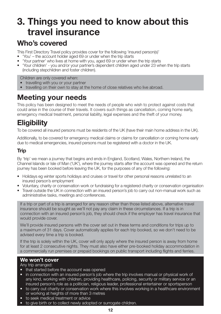# **3. Things you need to know about this travel insurance**

### **Who's covered**

This First Directory Travel policy provides cover for the following 'insured person(s)'

- 'You' the account holder aged 69 or under when the trip starts
- 'Your partner' who lives at home with you, aged 69 or under when the trip starts
- 'Your children' you and/or your partner's dependent children aged under 23 when the trip starts (including stepchildren and foster children).

Children are only covered when:

- travelling with you or your partner
- travelling on their own to stay at the home of close relatives who live abroad.

### **Meeting your needs**

This policy has been designed to meet the needs of people who wish to protect against costs that could arise in the course of their travels. It covers such things as cancellation, coming home early, emergency medical treatment, personal liability, legal expenses and the theft of your money.

### **Eligibility**

To be covered all insured persons must be residents of the UK (have their main home address in the UK).

Additionally, to be covered for emergency medical claims or claims for cancellation or coming home early due to medical emergencies, insured persons must be registered with a doctor in the UK.

#### **Trip**

By 'trip' we mean a journey that begins and ends in England, Scotland, Wales, Northern Ireland, the Channel Islands or Isle of Man ('UK'), where the journey starts after the account was opened and the return journey has been booked before leaving the UK, for the purposes of any of the following:

- Holidays eg winter sports holidays and cruises or travel for other personal reasons unrelated to an insured person's employment
- Voluntary, charity or conservation work or fundraising for a registered charity or conservation organisation
- Travel outside the UK in connection with an insured person's job to carry out non-manual work such as administrative tasks, meetings and conferences.

If a trip or part of a trip is arranged for any reason other than those listed above, alternative travel insurance should be sought as we'll not pay any claim in these circumstances. If a trip is in connection with an insured person's job, they should check if the employer has travel insurance that would provide cover.

We'll provide insured persons with the cover set out in these terms and conditions for trips up to a maximum of 31 days. Cover automatically applies for each trip booked, so we don't need to be advised every time a trip is booked.

If the trip is solely within the UK, cover will only apply where the insured person is away from home for at least 2 consecutive nights. They must also have either pre-booked holiday accommodation in a commercially run premises or prepaid bookings on public transport including flights and ferries.

#### **We won't cover**

Any trip arranged:

- that started before the account was opened
- in connection with an insured person's job where the trip involves manual or physical work of any kind, working with children, providing healthcare, policing, security or military service or an insured person's role as a politician, religious leader, professional entertainer or sportsperson
- to carry out charity or conservation work where this involves working in a healthcare environment or working at heights of more than 3 metres
- to seek medical treatment or advice
- to give birth or to collect newly adopted or surrogate children.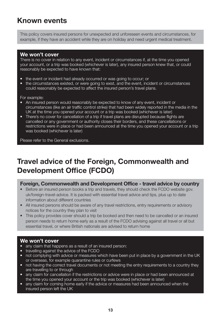### **Known events**

This policy covers insured persons for unexpected and unforeseen events and circumstances, for example, if they have an accident while they are on holiday and need urgent medical treatment.

#### **We won't cover**

There is no cover in relation to any event, incident or circumstances if, at the time you opened your account, or a trip was booked (whichever is later), any insured person knew that, or could reasonably be expected to have known that:

- the event or incident had already occurred or was going to occur; or
- the circumstances existed, or were going to exist, and the event, incident or circumstances could reasonably be expected to affect the insured person's travel plans.

For example:

- An insured person would reasonably be expected to know of any event, incident or circumstances (like an air traffic control strike) that had been widely reported in the media in the UK at the time you opened your account or a trip was booked (whichever is later)
- There's no cover for cancellation of a trip if travel plans are disrupted because flights are cancelled or any government or authority closes their borders, and these cancellations or restrictions were in place or had been announced at the time you opened your account or a trip was booked (whichever is later)

Please refer to the General exclusions.

### **Travel advice of the Foreign, Commonwealth and Development Office (FCDO)**

#### **Foreign, Commonwealth and Development Office - travel advice by country**

- Before an insured person books a trip and travels, they should check the FCDO website gov. uk/foreign-travel-advice. It is packed with essential travel advice and tips, plus up to date information about different countries
- All insured persons should be aware of any travel restrictions, entry requirements or advisory notices for the country they plan to visit
- This policy provides cover should a trip be booked and then need to be cancelled or an insured person needs to return home early as a result of the FCDO advising against all travel or all but essential travel, or where British nationals are advised to return home

- any claim that happens as a result of an insured person:
- travelling against the advice of the FCDO
- not complying with advice or measures which have been put in place by a government in the UK or overseas, for example quarantine rules or curfews
- not having the correct travel documents or not meeting the entry requirements to a country they are travelling to or through
- any claim for cancellation if the restrictions or advice were in place or had been announced at the time you opened your account or the trip was booked (whichever is later)
- any claim for coming home early if the advice or measures had been announced when the insured person left the UK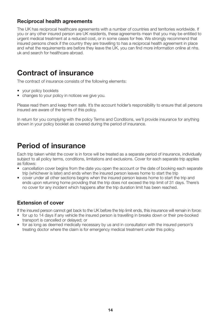#### **Reciprocal health agreements**

The UK has reciprocal healthcare agreements with a number of countries and territories worldwide. If you or any other insured person are UK residents, these agreements mean that you may be entitled to urgent medical treatment at a reduced cost, or in some cases for free. We strongly recommend that insured persons check if the country they are travelling to has a reciprocal health agreement in place and what the requirements are before they leave the UK, you can find more information online at nhs. uk and search for healthcare abroad.

### **Contract of insurance**

The contract of insurance consists of the following elements:

- your policy booklets
- changes to your policy in notices we give you.

Please read them and keep them safe. It's the account holder's responsibility to ensure that all persons insured are aware of the terms of this policy.

In return for you complying with the policy Terms and Conditions, we'll provide insurance for anything shown in your policy booklet as covered during the period of insurance.

### **Period of insurance**

Each trip taken whilst the cover is in force will be treated as a separate period of insurance, individually subject to all policy terms, conditions, limitations and exclusions. Cover for each separate trip applies as follows:

- cancellation cover begins from the date you open the account or the date of booking each separate trip (whichever is later) and ends when the insured person leaves home to start the trip
- cover under all other sections begins when the insured person leaves home to start the trip and ends upon returning home providing that the trip does not exceed the trip limit of 31 days. There's no cover for any incident which happens after the trip duration limit has been reached.

#### **Extension of cover**

If the insured person cannot get back to the UK before the trip limit ends, this insurance will remain in force:

- for up to 14 days if any vehicle the insured person is travelling in breaks down or their pre-booked transport is cancelled or delayed; or
- for as long as deemed medically necessary by us and in consultation with the insured person's treating doctor where the claim is for emergency medical treatment under this policy.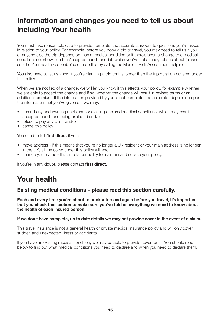### **Information and changes you need to tell us about including Your health**

You must take reasonable care to provide complete and accurate answers to questions you're asked in relation to your policy. For example, before you book a trip or travel, you may need to tell us if you, or anyone else the trip depends on, has a medical condition or if there's been a change to a medical condition, not shown on the Accepted conditions list, which you've not already told us about (please see the Your health section). You can do this by calling the Medical Risk Assessment helpline.

You also need to let us know if you're planning a trip that is longer than the trip duration covered under this policy.

When we are notified of a change, we will let you know if this affects your policy, for example whether we are able to accept the change and if so, whether the change will result in revised terms or an additional premium. If the information provided by you is not complete and accurate, depending upon the information that you've given us, we may:

- amend any underwriting decisions for existing declared medical conditions, which may result in accepted conditions being excluded and/or
- refuse to pay any claim and/or
- cancel this policy.

You need to tell **first direct** if you:

- move address if this means that you're no longer a UK resident or your main address is no longer in the UK, all the cover under this policy will end
- change your name this affects our ability to maintain and service your policy.

If you're in any doubt, please contact **first direct**.

### **Your health**

#### **Existing medical conditions – please read this section carefully.**

**Each and every time you're about to book a trip and again before you travel, it's important that you check this section to make sure you've told us everything we need to know about the health of each insured person.**

#### **If we don't have complete, up to date details we may not provide cover in the event of a claim.**

This travel insurance is not a general health or private medical insurance policy and will only cover sudden and unexpected illness or accidents.

If you have an existing medical condition, we may be able to provide cover for it. You should read below to find out what medical conditions you need to declare and when you need to declare them.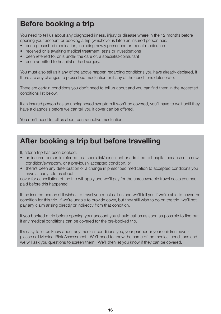### **Before booking a trip**

You need to tell us about any diagnosed illness, injury or disease where in the 12 months before opening your account or booking a trip (whichever is later) an insured person has:

- been prescribed medication, including newly prescribed or repeat medication
- received or is awaiting medical treatment, tests or investigations
- been referred to, or is under the care of, a specialist/consultant
- been admitted to hospital or had surgery.

You must also tell us if any of the above happen regarding conditions you have already declared, if there are any changes to prescribed medication or if any of the conditions deteriorate.

There are certain conditions you don't need to tell us about and you can find them in the Accepted conditions list below.

If an insured person has an undiagnosed symptom it won't be covered, you'll have to wait until they have a diagnosis before we can tell you if cover can be offered.

You don't need to tell us about contraceptive medication.

### **After booking a trip but before travelling**

If, after a trip has been booked:

- an insured person is referred to a specialist/consultant or admitted to hospital because of a new condition/symptom, or a previously accepted condition, or
- there's been any deterioration or a change in prescribed medication to accepted conditions you have already told us about

cover for cancellation of the trip will apply and we'll pay for the unrecoverable travel costs you had paid before this happened.

If the insured person still wishes to travel you must call us and we'll tell you if we're able to cover the condition for this trip. If we're unable to provide cover, but they still wish to go on the trip, we'll not pay any claim arising directly or indirectly from that condition.

If you booked a trip before opening your account you should call us as soon as possible to find out if any medical conditions can be covered for the pre-booked trip.

It's easy to let us know about any medical conditions you, your partner or your children have please call Medical Risk Assessment. We'll need to know the name of the medical conditions and we will ask you questions to screen them. We'll then let you know if they can be covered.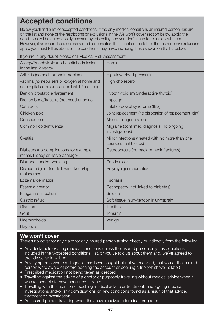### **Accepted conditions**

Below you'll find a list of accepted conditions. If the only medical conditions an insured person has are on the list and none of the restrictions or exclusions in the We won't cover section below apply, the conditions will be automatically covered by this policy and you don't need to tell us about them. However, if an insured person has a medical condition that is not on the list, or the restrictions/ exclusions apply, you must tell us about all the conditions they have, including those shown on the list below.

If you're in any doubt please call Medical Risk Assessment.

| Allergy/Anaphylaxis (no hospital admissions<br>in the last 2 years)                          | Hernia                                                                    |
|----------------------------------------------------------------------------------------------|---------------------------------------------------------------------------|
| Arthritis (no neck or back problems)                                                         | High/low blood pressure                                                   |
| Asthma (no nebulisers or oxygen at home and<br>no hospital admissions in the last 12 months) | <b>High cholesterol</b>                                                   |
| Benign prostatic enlargement                                                                 | Hypothyroidism (underactive thyroid)                                      |
| Broken bone/fracture (not head or spine)                                                     | Impetigo                                                                  |
| Cataracts                                                                                    | Irritable bowel syndrome (IBS)                                            |
| Chicken pox                                                                                  | Joint replacement (no dislocation of replacement joint)                   |
| Constipation                                                                                 | Macular degeneration                                                      |
| Common cold/influenza                                                                        | Migraine (confirmed diagnosis, no ongoing<br>investigations)              |
| Cystitis                                                                                     | Minor infections (treated with no more than one<br>course of antibiotics) |
| Diabetes (no complications for example<br>retinal, kidney or nerve damage)                   | Osteoporosis (no back or neck fractures)                                  |
| Diarrhoea and/or vomiting                                                                    | Peptic ulcer                                                              |
| Dislocated joint (not following knee/hip<br>replacement)                                     | Polymyalgia rheumatica                                                    |
| Eczema/dermatitis                                                                            | Psoriasis                                                                 |
| <b>Essential tremor</b>                                                                      | Retinopathy (not linked to diabetes)                                      |
| Fungal nail infection                                                                        | <b>Sinusitis</b>                                                          |
| Gastric reflux                                                                               | Soft tissue injury/tendon injury/sprain                                   |
| Glaucoma                                                                                     | Tinnitus                                                                  |
| Gout                                                                                         | <b>Tonsilitis</b>                                                         |
| Haemorrhoids                                                                                 | Vertigo                                                                   |
| Hay fever                                                                                    |                                                                           |

#### **We won't cover**

There's no cover for any claim for any insured person arising directly or indirectly from the following:

- Any declarable existing medical conditions unless the insured person only has conditions included in the 'Accepted conditions' list, or you've told us about them and, we've agreed to provide cover in writing
- Any symptoms where a diagnosis has been sought but not yet received, that you or the insured person were aware of before opening the account or booking a trip (whichever is later)
- Prescribed medication not being taken as directed
- Travelling against the advice of a doctor or purposely travelling without medical advice when it was reasonable to have consulted a doctor
- Travelling with the intention of seeking medical advice or treatment, undergoing medical investigations and/or any complications or new conditions found as a result of that advice, treatment or investigation
- An insured person travelling when they have received a terminal prognosis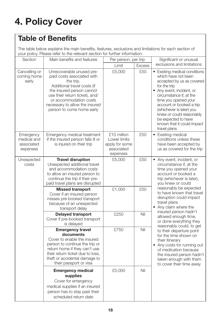# **4. Policy Cover**

### **Table of Benefits**

The table below explains the main benefits, features, exclusions and limitations for each section of your policy. Please refer to the relevant section for further information.

| Section                                            | Main benefits and features                                                                                                                                                                                                                                  | Per person, per trip<br>Limit<br><b>Excess</b>                          |     | Significant or unusual                                                                                                                                                                                                                                                                                                                     |
|----------------------------------------------------|-------------------------------------------------------------------------------------------------------------------------------------------------------------------------------------------------------------------------------------------------------------|-------------------------------------------------------------------------|-----|--------------------------------------------------------------------------------------------------------------------------------------------------------------------------------------------------------------------------------------------------------------------------------------------------------------------------------------------|
|                                                    |                                                                                                                                                                                                                                                             |                                                                         |     | exclusions and limitations                                                                                                                                                                                                                                                                                                                 |
| Cancelling or<br>coming home<br>early              | Unrecoverable unused pre-<br>paid costs associated with<br>the trip.<br>Additional travel costs (if<br>the insured person cannot<br>use their return ticket), and/<br>or accommodation costs<br>necessary to allow the insured<br>person to come home early | £5,000                                                                  | £50 | • Existing medical conditions<br>which have not been<br>accepted by us as covered<br>for the trip<br>• Any event, incident, or<br>circumstance if, at the<br>time you opened your<br>account or booked a trip<br>(whichever is later) you<br>knew or could reasonably<br>be expected to have<br>known that it could impact<br>travel plans |
| Emergency<br>medical and<br>associated<br>expenses | Emergency medical treatment<br>if the insured person falls ill or<br>is injured on their trip                                                                                                                                                               | £10 million<br>Lower limits<br>apply for some<br>associated<br>expenses | £50 | • Existing medical<br>conditions unless these<br>have been accepted by<br>us as covered for the trip                                                                                                                                                                                                                                       |
| Unexpected<br>costs                                | <b>Travel disruption</b><br>Unexpected additional travel<br>and accommodation costs<br>to allow an insured person to<br>continue the trip if their pre-<br>paid travel plans are disrupted                                                                  | £5,000                                                                  | £50 | • Any event, incident, or<br>circumstance if, at the<br>time you opened your<br>account or booked a<br>trip (whichever is later),<br>you knew or could                                                                                                                                                                                     |
|                                                    | <b>Missed transport</b><br>Cover if an insured person<br>misses pre-booked transport<br>because of an unexpected<br>transport delay                                                                                                                         | £1,000                                                                  | £50 | reasonably be expected<br>to have known that travel<br>disruption could impact<br>travel plans<br>• Any claim where the                                                                                                                                                                                                                    |
|                                                    | <b>Delayed transport</b><br>Cover if pre-booked transport<br>is delayed                                                                                                                                                                                     | £250                                                                    | Nil | insured person hadn't<br>allowed enough time,<br>or done everything they<br>reasonably could, to get                                                                                                                                                                                                                                       |
|                                                    | <b>Emergency travel</b><br>documents<br>Cover to enable the insured<br>person to continue the trip or<br>return home if they can't use<br>their return ticket due to loss,<br>theft or accidental damage to<br>their passport or visa                       | £750                                                                    | Nil | to their departure point<br>for the time shown on<br>their itinerary<br>• Any costs for running out<br>of medication because<br>the insured person hadn't<br>taken enough with them<br>to cover their time away                                                                                                                            |
|                                                    | <b>Emergency medical</b><br>supplies<br>Cover for emergency<br>medical supplies if an insured<br>person has to stay past their<br>scheduled return date                                                                                                     | £5,000                                                                  | Nil |                                                                                                                                                                                                                                                                                                                                            |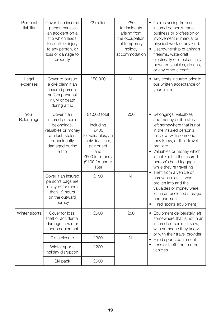| Personal<br>liability | Cover if an insured<br>person causes<br>an accident on a<br>trip which leads<br>to death or injury<br>to any person, or<br>loss or damage to<br>property | £2 million                                                                                                                                    | £50<br>for incidents<br>arising from<br>the occupation<br>of temporary<br>holiday<br>accommodation | • Claims arising from an<br>insured person's trade<br>business or profession or<br>involvement in manual or<br>physical work of any kind.<br>• Use/ownership of animals,<br>firearms, watercraft,<br>electrically or mechanically<br>powered vehicles, drones,<br>or any other aircraft          |  |
|-----------------------|----------------------------------------------------------------------------------------------------------------------------------------------------------|-----------------------------------------------------------------------------------------------------------------------------------------------|----------------------------------------------------------------------------------------------------|--------------------------------------------------------------------------------------------------------------------------------------------------------------------------------------------------------------------------------------------------------------------------------------------------|--|
| Legal<br>expenses     | Cover to pursue<br>a civil claim if an<br>insured person<br>suffers personal<br>injury or death<br>during a trip                                         | £50,000                                                                                                                                       | Nil                                                                                                | • Any costs incurred prior to<br>our written acceptance of<br>your claim                                                                                                                                                                                                                         |  |
| Your<br>Belongings    | Cover if an<br>insured person's<br>belongings,<br>valuables or money<br>are lost, stolen<br>or accidently<br>damaged during<br>a trip                    | £1,500 total<br>Including<br>£400<br>for valuables, an<br>individual item,<br>pair or set<br>and<br>£500 for money<br>(£100 for under<br>16s) | £50                                                                                                | • Belongings, valuables<br>and money deliberately<br>left somewhere that is not<br>in the insured person's<br>full view, with someone<br>they know, or their travel<br>provider<br>• Valuables or money which<br>is not kept in the insured<br>person's hand luggage<br>while they're travelling |  |
|                       | Cover if an insured<br>person's bags are<br>delayed for more<br>than 12 hours<br>on the outward<br>journey                                               | £150                                                                                                                                          |                                                                                                    | • Theft from a vehicle or<br>caravan unless it was<br>broken into and the<br>valuables or money were<br>left in an enclosed storage<br>compartment<br>• Hired sports equipment                                                                                                                   |  |
| Winter sports         | Cover for loss,<br>theft or accidental<br>damage to winter<br>sports equipment                                                                           | £500                                                                                                                                          | £50                                                                                                | • Equipment deliberately left<br>somewhere that is not in an<br>insured person's full view,<br>with someone they know,                                                                                                                                                                           |  |
|                       | Piste closure                                                                                                                                            | £300                                                                                                                                          | Nil                                                                                                | or with their travel provider<br>• Hired sports equipment                                                                                                                                                                                                                                        |  |
|                       | Winter sports<br>holiday disruption                                                                                                                      | £200                                                                                                                                          |                                                                                                    | • Loss or theft from motor<br>vehicles                                                                                                                                                                                                                                                           |  |
|                       | Ski pack                                                                                                                                                 | £500                                                                                                                                          |                                                                                                    |                                                                                                                                                                                                                                                                                                  |  |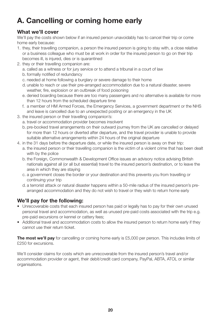### **A. Cancelling or coming home early**

#### **What we'll cover**

We'll pay the costs shown below if an insured person unavoidably has to cancel their trip or come home early because:

- 1. they, their travelling companion, a person the insured person is going to stay with, a close relative or a business colleague who must be at work in order for the insured person to go on their trip becomes ill, is injured, dies or is quarantined
- 2. they or their travelling companion are:
	- a. called as a witness or for jury service or to attend a tribunal in a court of law
	- b. formally notified of redundancy
	- c. needed at home following a burglary or severe damage to their home
	- d. unable to reach or use their pre-arranged accommodation due to a natural disaster, severe weather, fire, explosion or an outbreak of food poisoning
	- e. denied boarding because there are too many passengers and no alternative is available for more than 12 hours from the scheduled departure time
	- f. a member of HM Armed Forces, the Emergency Services, a government department or the NHS and leave is cancelled due to an unexpected posting or an emergency in the UK
- 3. the insured person or their travelling companion's:
	- a. travel or accommodation provider becomes insolvent
	- b. pre-booked travel arrangements on their outward journey from the UK are cancelled or delayed for more than 12 hours or diverted after departure, and the travel provider is unable to provide suitable alternative arrangements within 24 hours of the original departure
- 4. in the 31 days before the departure date, or while the insured person is away on their trip:
	- a. the insured person or their travelling companion is the victim of a violent crime that has been dealt with by the police
	- b. the Foreign, Commonwealth & Development Office issues an advisory notice advising British nationals against all (or all but essential) travel to the insured person's destination, or to leave the area in which they are staying
	- c. a government closes the border or your destination and this prevents you from travelling or continuing your trip
	- d. a terrorist attack or natural disaster happens within a 50-mile radius of the insured person's prearranged accommodation and they do not wish to travel or they wish to return home early

#### **We'll pay for the following:**

- Unrecoverable costs that each insured person has paid or legally has to pay for their own unused personal travel and accommodation, as well as unused pre-paid costs associated with the trip e.g. pre-paid excursions or kennel or cattery fees;
- Additional travel and accommodation costs to allow the insured person to return home early if they cannot use their return ticket.

**The most we'll pay** for cancelling or coming home early is £5,000 per person. This includes limits of £250 for excursions.

We'll consider claims for costs which are unrecoverable from the insured person's travel and/or accommodation provider or agent, their debit/credit card company, PayPal, ABTA, ATOL or similar organisations.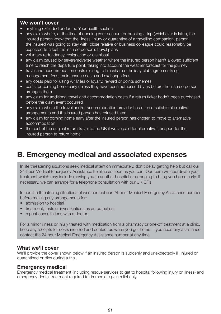#### **We won't cover**

- anything excluded under the Your health section
- any claim where, at the time of opening your account or booking a trip (whichever is later), the insured person knew that the illness, injury or quarantine of a travelling companion, person the insured was going to stay with, close relative or business colleague could reasonably be expected to affect the insured person's travel plans
- voluntary redundancy, resignation or dismissal
- any claim caused by severe/adverse weather where the insured person hasn't allowed sufficient time to reach the departure point, taking into account the weather forecast for the journey
- travel and accommodation costs relating to timeshare or holiday club agreements eg management fees, maintenance costs and exchange fees
- any costs paid for using Air Miles or loyalty, reward or points schemes
- costs for coming home early unless they have been authorised by us before the insured person arranges them
- any claim for additional travel and accommodation costs if a return ticket hadn't been purchased before the claim event occurred
- any claim where the travel and/or accommodation provider has offered suitable alternative arrangements and the insured person has refused them
- any claim for coming home early after the insured person has chosen to move to alternative accommodation
- the cost of the original return travel to the UK if we've paid for alternative transport for the insured person to return home

### **B. Emergency medical and associated expenses**

In life threatening situations seek medical attention immediately, don't delay getting help but call our 24-hour Medical Emergency Assistance helpline as soon as you can. Our team will coordinate your treatment which may include moving you to another hospital or arranging to bring you home early. If necessary, we can arrange for a telephone consultation with our UK GPs.

In non-life threatening situations please contact our 24-hour Medical Emergency Assistance number before making any arrangements for:

- admission to hospital
- treatment, tests or investigations as an outpatient
- repeat consultations with a doctor.

For a minor illness or injury treated with medication from a pharmacy or one-off treatment at a clinic, keep any receipts for costs incurred and contact us when you get home. If you need any assistance contact the 24 hour Medical Emergency Assistance number at any time.

#### **What we'll cover**

We'll provide the cover shown below if an insured person is suddenly and unexpectedly ill, injured or quarantined or dies during a trip.

#### **Emergency medical**

Emergency medical treatment (including rescue services to get to hospital following injury or illness) and emergency dental treatment required for immediate pain relief only.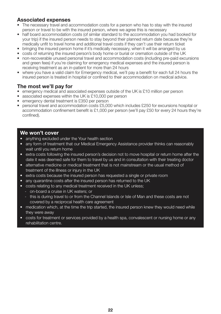#### **Associated expenses**

- The necessary travel and accommodation costs for a person who has to stay with the insured person or travel to be with the insured person, where we agree this is necessary
- half board accommodation costs (of similar standard to the accommodation you had booked for your trip) if the insured person needs to stay beyond their planned return date because they're medically unfit to travel home and additional travel costs if they can't use their return ticket
- bringing the insured person home if it's medically necessary, when it will be arranged by us
- costs of returning the insured person's body home or burial or cremation outside of the UK
- non-recoverable unused personal travel and accommodation costs (including pre-paid excursions and green fees) if you're claiming for emergency medical expenses and the insured person is receiving treatment as an in-patient for more than 24 hours
- where you have a valid claim for Emergency medical, we'll pay a benefit for each full 24 hours the insured person is treated in hospital or confined to their accommodation on medical advice.

#### **The most we'll pay for**

- emergency medical and associated expenses outside of the UK is £10 million per person
- associated expenses within the UK is £10,000 per person
- emergency dental treatment is £350 per person
- personal travel and accommodation costs £5,000 which includes £250 for excursions hospital or accommodation confinement benefit is £1,000 per person (we'll pay £50 for every 24 hours they're confined).

- anything excluded under the Your health section
- any form of treatment that our Medical Emergency Assistance provider thinks can reasonably wait until you return home
- extra costs following the insured person's decision not to move hospital or return home after the date it was deemed safe for them to travel by us and in consultation with their treating doctor
- alternative medicine or medical treatment that is not mainstream or the usual method of treatment of the illness or injury in the UK
- extra costs because the insured person has requested a single or private room
- any quarantine costs after the insured person has returned to the UK
- costs relating to any medical treatment received in the UK unless;
	- on-board a cruise in UK waters; or
	- this is during travel to or from the Channel Islands or Isle of Man and these costs are not covered by a reciprocal health care agreement
- medication which, at the time the trip started, the insured person knew they would need while they were away
- costs for treatment or services provided by a health spa, convalescent or nursing home or any rehabilitation centre.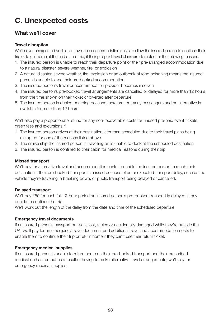### **C. Unexpected costs**

#### **What we'll cover**

#### **Travel disruption**

We'll cover unexpected additional travel and accommodation costs to allow the insured person to continue their trip or to get home at the end of their trip, if their pre-paid travel plans are disrupted for the following reasons:

- 1. The insured person is unable to reach their departure point or their pre-arranged accommodation due to a natural disaster, severe weather, fire, or explosion
- 2. A natural disaster, severe weather, fire, explosion or an outbreak of food poisoning means the insured person is unable to use their pre-booked accommodation
- 3. The insured person's travel or accommodation provider becomes insolvent
- 4. The insured person's pre-booked travel arrangements are cancelled or delayed for more than 12 hours from the time shown on their ticket or diverted after departure
- 5. The insured person is denied boarding because there are too many passengers and no alternative is available for more than 12 hours

We'll also pay a proportionate refund for any non-recoverable costs for unused pre-paid event tickets, green fees and excursions if:

- 1. The insured person arrives at their destination later than scheduled due to their travel plans being disrupted for one of the reasons listed above
- 2. The cruise ship the insured person is travelling on is unable to dock at the scheduled destination
- 3. The insured person is confined to their cabin for medical reasons during their trip.

#### **Missed transport**

We'll pay for alternative travel and accommodation costs to enable the insured person to reach their destination if their pre-booked transport is missed because of an unexpected transport delay, such as the vehicle they're travelling in breaking down, or public transport being delayed or cancelled.

#### **Delayed transport**

We'll pay £50 for each full 12-hour period an insured person's pre-booked transport is delayed if they decide to continue the trip.

We'll work out the length of the delay from the date and time of the scheduled departure.

#### **Emergency travel documents**

If an insured person's passport or visa is lost, stolen or accidentally damaged while they're outside the UK, we'll pay for an emergency travel document and additional travel and accommodation costs to enable them to continue their trip or return home if they can't use their return ticket.

#### **Emergency medical supplies**

If an insured person is unable to return home on their pre-booked transport and their prescribed medication has run out as a result of having to make alternative travel arrangements, we'll pay for emergency medical supplies.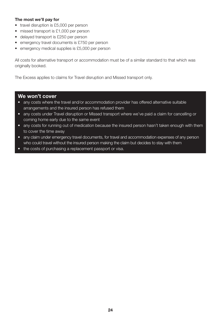#### **The most we'll pay for**

- travel disruption is £5,000 per person
- missed transport is £1,000 per person
- delayed transport is £250 per person
- emergency travel documents is £750 per person
- emergency medical supplies is £5,000 per person

All costs for alternative transport or accommodation must be of a similar standard to that which was originally booked.

The Excess applies to claims for Travel disruption and Missed transport only.

- any costs where the travel and/or accommodation provider has offered alternative suitable arrangements and the insured person has refused them
- any costs under Travel disruption or Missed transport where we've paid a claim for cancelling or coming home early due to the same event
- any costs for running out of medication because the insured person hasn't taken enough with them to cover the time away
- any claim under emergency travel documents, for travel and accommodation expenses of any person who could travel without the insured person making the claim but decides to stay with them
- the costs of purchasing a replacement passport or visa.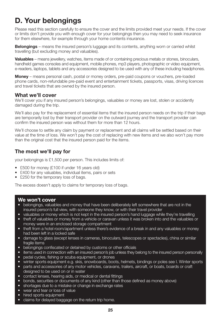### **D. Your belongings**

Please read this section carefully to ensure the cover and the limits provided meet your needs. If the cover or limits don't provide you with enough cover for your belongings then you may need to seek insurance for them elsewhere, for example through your home contents insurance.

**Belongings** – means the insured person's luggage and its contents, anything worn or carried whilst travelling (but excluding money and valuables).

**Valuables** – means jewellery, watches, items made of or containing precious metals or stones, binoculars, handheld games consoles and equipment, mobile phones, mp3 players, photographic or video equipment, e-readers, laptops, tablets and any accessories designed to be used with any of these including headphones.

**Money** – means personal cash, postal or money orders, pre-paid coupons or vouchers, pre-loaded phone cards, non-refundable pre-paid event and entertainment tickets, passports, visas, driving licences and travel tickets that are owned by the insured person.

#### **What we'll cover**

We'll cover you if any insured person's belongings, valuables or money are lost, stolen or accidently damaged during the trip.

We'll also pay for the replacement of essential items that the insured person needs on the trip if their bags are temporarily lost by their transport provider on the outward journey and the transport provider can confirm the insured person was without them for more than 12 hours.

We'll choose to settle any claim by payment or replacement and all claims will be settled based on their value at the time of loss. We won't pay the cost of replacing with new items and we also won't pay more than the original cost that the insured person paid for the items.

#### **The most we'll pay for**

your belongings is £1,500 per person. This includes limits of:

- £500 for money (£100 if under 16 years old)
- £400 for any valuables, individual items, pairs or sets
- £250 for the temporary loss of bags.

The excess doesn't apply to claims for temporary loss of bags.

- belongings, valuables and money that have been deliberately left somewhere that are not in the insured person's full view, with someone they know, or with their travel provider
- valuables or money which is not kept in the insured person's hand luggage while they're travelling
- theft of valuables or money from a vehicle or caravan unless it was broken into and the valuables or money were in an enclosed storage compartment
- theft from a hotel room/apartment unless there's evidence of a break in and any valuables or money had been left in a locked safe
- damage to glass (except lenses in cameras, binoculars, telescopes or spectacles), china or similar fragile items
- belongings confiscated or detained by customs or other officials
- items used in connection with an insured person's job unless they belong to the insured person personally
- pedal cycles, fishing or scuba equipment, or drones
- winter sports equipment e.g. skis, snowboards, boots, helmets, bindings or poles see I. Winter sports
- parts and accessories of any motor vehicles, caravans, trailers, aircraft, or boats, boards or craft designed to be used on or in water
- contact lenses, hearing aids, or medical or dental fittings
- bonds, securities or documents of any kind (other than those defined as money above)
- shortages due to a mistake or change in exchange rates
- wear and tear or loss of value
- hired sports equipment
- claims for delayed baggage on the return trip home.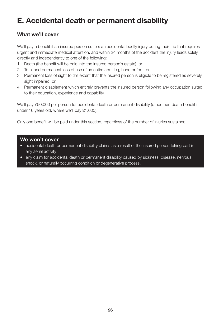### **E. Accidental death or permanent disability**

#### **What we'll cover**

We'll pay a benefit if an insured person suffers an accidental bodily injury during their trip that requires urgent and immediate medical attention, and within 24 months of the accident the injury leads solely, directly and independently to one of the following:

- 1. Death (the benefit will be paid into the insured person's estate); or
- 2. Total and permanent loss of use of an entire arm, leg, hand or foot; or
- 3. Permanent loss of sight to the extent that the insured person is eligible to be registered as severely sight impaired; or
- 4. Permanent disablement which entirely prevents the insured person following any occupation suited to their education, experience and capability.

We'll pay £50,000 per person for accidental death or permanent disability (other than death benefit if under 16 years old, where we'll pay £1,000).

Only one benefit will be paid under this section, regardless of the number of injuries sustained.

- accidental death or permanent disability claims as a result of the insured person taking part in any aerial activity
- any claim for accidental death or permanent disability caused by sickness, disease, nervous shock, or naturally occurring condition or degenerative process.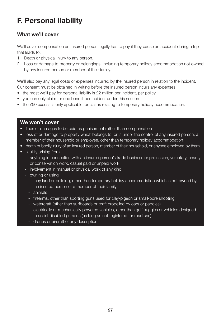### **F. Personal liability**

#### **What we'll cover**

We'll cover compensation an insured person legally has to pay if they cause an accident during a trip that leads to:

- 1. Death or physical injury to any person.
- 2. Loss or damage to property or belongings, including temporary holiday accommodation not owned by any insured person or member of their family.

We'll also pay any legal costs or expenses incurred by the insured person in relation to the incident. Our consent must be obtained in writing before the insured person incurs any expenses.

- the most we'll pay for personal liability is £2 million per incident, per policy
- you can only claim for one benefit per incident under this section
- the £50 excess is only applicable for claims relating to temporary holiday accommodation.

- fines or damages to be paid as punishment rather than compensation
- loss of or damage to property which belongs to, or is under the control of any insured person, a member of their household or employee, other than temporary holiday accommodation
- death or bodily injury of an insured person, member of their household, or anyone employed by them
- liability arising from
	- anything in connection with an insured person's trade business or profession, voluntary, charity or conservation work, casual paid or unpaid work
	- involvement in manual or physical work of any kind
	- owning or using
		- any land or building, other than temporary holiday accommodation which is not owned by an insured person or a member of their family
		- animals
		- firearms, other than sporting guns used for clay-pigeon or small-bore shooting
		- watercraft (other than surfboards or craft propelled by oars or paddles)
		- electrically or mechanically powered vehicles, other than golf buggies or vehicles designed to assist disabled persons (as long as not registered for road use)
		- drones or aircraft of any description.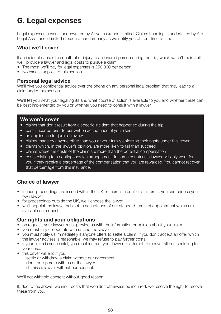### **G. Legal expenses**

Legal expenses cover is underwritten by Aviva Insurance Limited. Claims handling is undertaken by Arc Legal Assistance Limited or such other company as we notify you of from time to time.

#### **What we'll cover**

If an incident causes the death of or injury to an insured person during the trip, which wasn't their fault we'll provide a lawyer and legal costs to pursue a claim.

- The most we'll pay for legal expenses is £50,000 per person
- No excess applies to this section.

#### **Personal legal advice**

We'll give you confidential advice over the phone on any personal legal problem that may lead to a claim under this section.

We'll tell you what your legal rights are, what course of action is available to you and whether these can be best implemented by you or whether you need to consult with a lawyer.

#### **We won't cover**

- claims that don't result from a specific incident that happened during the trip
- costs incurred prior to our written acceptance of your claim
- an application for judicial review
- claims made by anyone other than you or your family enforcing their rights under this cover
- claims which, in the lawyer's opinion, are more likely to fail than succeed
- claims where the costs of the claim are more than the potential compensation
- costs relating to a contingency fee arrangement. In some countries a lawyer will only work for you if they receive a percentage of the compensation that you are rewarded. You cannot recover that percentage from this insurance.

#### **Choice of lawyer**

- if court proceedings are issued within the UK or there is a conflict of interest, you can choose your own lawyer
- for proceedings outside the UK, we'll choose the lawyer
- we'll appoint the lawyer subject to acceptance of our standard terms of appointment which are available on request.

#### **Our rights and your obligations**

- on request, your lawyer must provide us with the information or opinion about your claim
- you must fully co-operate with us and the lawyer
- you must notify us immediately if anyone offers to settle a claim. If you don't accept an offer which the lawyer advises is reasonable, we may refuse to pay further costs.
- if your claim is successful, you must instruct your lawyer to attempt to recover all costs relating to your case.
- this cover will end if you:
	- settle or withdraw a claim without our agreement
	- don't co-operate with us or the lawyer
	- dismiss a lawyer without our consent.

We'll not withhold consent without good reason.

If, due to the above, we incur costs that wouldn't otherwise be incurred, we reserve the right to recover these from you.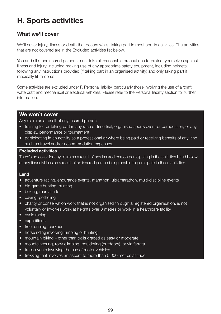### **H. Sports activities**

#### **What we'll cover**

We'll cover injury, illness or death that occurs whilst taking part in most sports activities. The activities that are not covered are in the Excluded activities list below.

You and all other insured persons must take all reasonable precautions to protect yourselves against illness and injury, including making use of any appropriate safety equipment, including helmets, following any instructions provided (if taking part in an organised activity) and only taking part if medically fit to do so.

Some activities are excluded under F. Personal liability, particularly those involving the use of aircraft, watercraft and mechanical or electrical vehicles. Please refer to the Personal liability section for further information.

#### **We won't cover**

Any claim as a result of any insured person:

- training for, or taking part in any race or time trial, organised sports event or competition, or any display, performance or tournament
- participating in an activity as a professional or where being paid or receiving benefits of any kind, such as travel and/or accommodation expenses.

#### **Excluded activities**

There's no cover for any claim as a result of any insured person participating in the activities listed below or any financial loss as a result of an insured person being unable to participate in these activities.

#### **Land**

- adventure racing, endurance events, marathon, ultramarathon, multi-discipline events
- big game hunting, hunting
- boxing, martial arts
- caving, potholing
- charity or conservation work that is not organised through a registered organisation, is not voluntary or involves work at heights over 3 metres or work in a healthcare facility
- cycle racing
- expeditions
- free running, parkour
- horse riding involving jumping or hunting
- mountain biking other than trails graded as easy or moderate
- mountaineering, rock climbing, bouldering (outdoors), or via ferrata
- track events involving the use of motor vehicles
- trekking that involves an ascent to more than 5,000 metres altitude.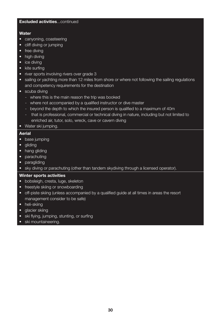#### **Excluded activities**...continued

#### **Water**

- canyoning, coasteering
- cliff diving or jumping
- free diving
- high diving
- ice divina
- kite surfing
- river sports involving rivers over grade 3
- sailing or vachting more than 12 miles from shore or where not following the sailing regulations and competency requirements for the destination
- scuba diving
	- where this is the main reason the trip was booked
	- where not accompanied by a qualified instructor or dive master
	- beyond the depth to which the insured person is qualified to a maximum of 40m
	- that is professional, commercial or technical diving in nature, including but not limited to enriched air, tutor, solo, wreck, cave or cavern diving
- Water ski jumping.

#### **Aerial**

- base jumping
- alidina
- hang gliding
- parachuting
- paragliding
- sky diving or parachuting (other than tandem skydiving through a licensed operator).

#### **Winter sports activities**

- bobsleigh, cresta, luge, skeleton
- freestyle skiing or snowboarding
- off-piste skiing (unless accompanied by a qualified guide at all times in areas the resort management consider to be safe)
- heli-skiing
- alacier skiing
- ski flying, jumping, stunting, or surfing
- ski mountaineering.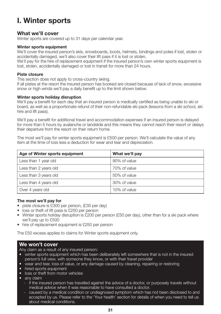### **I. Winter sports**

#### **What we'll cover**

Winter sports are covered up to 31 days per calendar year.

#### **Winter sports equipment**

We'll cover the insured person's skis, snowboards, boots, helmets, bindings and poles if lost, stolen or accidentally damaged, we'll also cover their lift pass if it is lost or stolen.

We'll pay for the hire of replacement equipment if the insured person's own winter sports equipment is lost, stolen, accidentally damaged or lost in transit for more than 24 hours.

#### **Piste closure**

This section does not apply to cross-country skiing.

If all pistes at the resort the insured person has booked are closed because of lack of snow, excessive snow or high winds we'll pay a daily benefit up to the limit shown below.

#### **Winter sports holiday disruption**

We'll pay a benefit for each day that an insured person is medically certified as being unable to ski or board, as well as a proportionate refund of their non-refundable ski pack (lessons from a ski school, ski hire and lift pass).

We'll pay a benefit for additional travel and accommodation expenses if an insured person is delayed for more than 5 hours by avalanche or landslide and this means they cannot reach their resort or delays their departure from the resort on their return home.

The most we'll pay for winter sports equipment is £500 per person. We'll calculate the value of any item at the time of loss less a deduction for wear and tear and depreciation.

| Age of Winter sports equipment | What we'll pay |
|--------------------------------|----------------|
| Less than 1 year old           | 90% of value   |
| Less than 2 years old          | 70% of value   |
| Less than 3 years old          | 50% of value   |
| Less than 4 years old          | 30% of value   |
| Over 4 years old               | 10% of value   |

#### **The most we'll pay for**

- piste closure is £300 per person, (£30 per day)
- loss or theft of lift pass is £250 per person
- Winter sports holiday disruption is £200 per person (£50 per day), other than for a ski pack where we'll pay up to £500
- hire of replacement equipment is £250 per person

The £50 excess applies to claims for Winter sports equipment only.

#### **We won't cover**

Any claim as a result of any insured person:

- winter sports equipment which has been deliberately left somewhere that is not in the insured person's full view, with someone they know, or with their travel provider
- wear and tear, loss of value, or any damage caused by cleaning, repairing or restoring
- hired sports equipment
- loss or theft from motor vehicles
- any claim
	- if the insured person has travelled against the advice of a doctor, or purposely travels without medical advice when it was reasonable to have consulted a doctor.
	- caused by a medical condition or undiagnosed symptom which has not been disclosed to and accepted by us. Please refer to the 'Your health' section for details of when you need to tell us about medical conditions.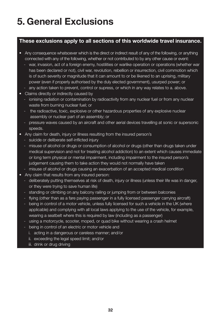# **5. General Exclusions**

#### **These exclusions apply to all sections of this worldwide travel insurance.**

- Any consequence whatsoever which is the direct or indirect result of any of the following, or anything connected with any of the following, whether or not contributed to by any other cause or event:
	- war, invasion, act of a foreign enemy, hostilities or warlike operation or operations (whether war has been declared or not), civil war, revolution, rebellion or insurrection, civil commotion which is of such severity or magnitude that it can amount to or be likened to an uprising, military power (even if properly authorised by the duly elected government), usurped power; or
	- any action taken to prevent, control or supress, or which in any way relates to a. above.
- Claims directly or indirectly caused by
	- ionising radiation or contamination by radioactivity from any nuclear fuel or from any nuclear waste from burning nuclear fuel; or
	- the radioactive, toxic, explosive or other hazardous properties of any explosive nuclear assembly or nuclear part of an assembly; or
	- pressure waves caused by an aircraft and other aerial devices travelling at sonic or supersonic speeds.
- Any claim for death, injury or illness resulting from the insured person's
	- suicide or deliberate self-inflicted injury
	- misuse of alcohol or drugs or consumption of alcohol or drugs (other than drugs taken under medical supervision and not for treating alcohol addiction) to an extent which causes immediate or long term physical or mental impairment, including impairment to the insured person's judgement causing them to take action they would not normally have taken
	- misuse of alcohol or drugs causing an exacerbation of an accepted medical condition
- Any claim that results from any insured person:
	- deliberately putting themselves at risk of death, injury or illness (unless their life was in danger, or they were trying to save human life)
	- standing or climbing on any balcony railing or jumping from or between balconies
	- flying (other than as a fare paying passenger in a fully licensed passenger carrying aircraft)
	- being in control of a motor vehicle, unless fully licensed for such a vehicle in the UK (where applicable) and complying with all local laws applying to the use of the vehicle, for example, wearing a seatbelt where this is required by law (including as a passenger)
	- using a motorcycle, scooter, moped, or quad bike without wearing a crash helmet
	- being in control of an electric or motor vehicle and
		- i. acting in a dangerous or careless manner; and/or
		- ii. exceeding the legal speed limit; and/or
		- iii. drink or drug driving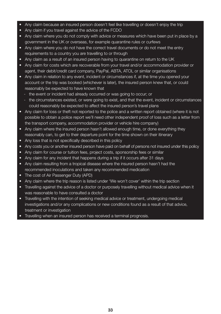- Any claim because an insured person doesn't feel like travelling or doesn't enjoy the trip
- Any claim if you travel against the advice of the FCDO
- Any claim where you do not comply with advice or measures which have been put in place by a government in the UK or overseas, for example quarantine rules or curfews
- Any claim where you do not have the correct travel documents or do not meet the entry requirements to a country you are travelling to or through
- Any claim as a result of an insured person having to quarantine on return to the UK
- Any claim for costs which are recoverable from your travel and/or accommodation provider or agent, their debit/credit card company, PayPal, ABTA, ATOL or similar organisations
- Any claim in relation to any event, incident or circumstances if, at the time you opened your account or the trip was booked (whichever is later), the insured person knew that, or could reasonably be expected to have known that
	- the event or incident had already occurred or was going to occur; or
	- the circumstances existed, or were going to exist, and that the event, incident or circumstances could reasonably be expected to affect the insured person's travel plans
- Any claim for loss or theft not reported to the police and a written report obtained (where it is not possible to obtain a police report we'll need other independent proof of loss such as a letter from the transport company, accommodation provider or vehicle hire company)
- Any claim where the insured person hasn't allowed enough time, or done everything they reasonably can, to get to their departure point for the time shown on their itinerary
- Any loss that is not specifically described in this policy
- Any costs you or another insured person have paid on behalf of persons not insured under this policy
- Any claim for course or tuition fees, project costs, sponsorship fees or similar
- Any claim for any incident that happens during a trip if it occurs after 31 days
- Any claim resulting from a tropical disease where the insured person hasn't had the recommended inoculations and taken any recommended medication
- The cost of Air Passenger Duty (APD)
- Any claim where the trip reason is listed under 'We won't cover' within the trip section
- Travelling against the advice of a doctor or purposely travelling without medical advice when it was reasonable to have consulted a doctor
- Travelling with the intention of seeking medical advice or treatment, undergoing medical investigations and/or any complications or new conditions found as a result of that advice, treatment or investigation
- Travelling when an insured person has received a terminal prognosis.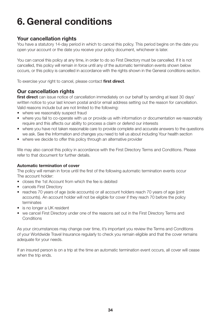# **6. General conditions**

#### **Your cancellation rights**

You have a statutory 14-day period in which to cancel this policy. This period begins on the date you open your account or the date you receive your policy document, whichever is later.

You can cancel this policy at any time, in order to do so First Directory must be cancelled. If it is not cancelled, this policy will remain in force until any of the automatic termination events shown below occurs, or this policy is cancelled in accordance with the rights shown in the General conditions section.

To exercise your right to cancel, please contact **first direct**.

#### **Our cancellation rights**

**first direct** can issue notice of cancellation immediately on our behalf by sending at least 30 days' written notice to your last known postal and/or email address setting out the reason for cancellation. Valid reasons include but are not limited to the following:

- where we reasonably suspect fraud
- where you fail to co-operate with us or provide us with information or documentation we reasonably require and this affects our ability to process a claim or defend our interests
- where you have not taken reasonable care to provide complete and accurate answers to the questions we ask. See the Information and changes you need to tell us about including Your health section
- where we decide to offer this policy through an alternative provider

We may also cancel this policy in accordance with the First Directory Terms and Conditions. Please refer to that document for further details.

#### **Automatic termination of cover**

The policy will remain in force until the first of the following automatic termination events occur The account holder:

- closes the 1st Account from which the fee is debited
- cancels First Directory
- reaches 70 years of age (sole accounts) or all account holders reach 70 years of age (joint accounts). An account holder will not be eligible for cover if they reach 70 before the policy terminates
- is no longer a UK resident
- we cancel First Directory under one of the reasons set out in the First Directory Terms and **Conditions**

As your circumstances may change over time, it's important you review the Terms and Conditions of your Worldwide Travel Insurance regularly to check you remain eligible and that the cover remains adequate for your needs.

If an insured person is on a trip at the time an automatic termination event occurs, all cover will cease when the trip ends.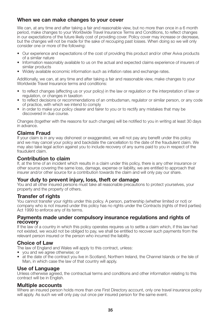#### **When we can make changes to your cover**

We can, at any time and after taking a fair and reasonable view, but no more than once in a 6 month period, make changes to your Worldwide Travel Insurance Terms and Conditions, to reflect changes in our expectations of the future likely cost of providing cover. Policy cover may increase or decrease, but the changes will not be made for the sake of recouping past losses. When doing so we will only consider one or more of the following:

- Our experience and expectations of the cost of providing this product and/or other Aviva products of a similar nature
- Information reasonably available to us on the actual and expected claims experience of insurers of similar products
- Widely available economic information such as inflation rates and exchange rates.

Additionally, we can, at any time and after taking a fair and reasonable view, make changes to your Worldwide Travel Insurance terms and conditions:

- to reflect changes (affecting us or your policy) in the law or regulation or the interpretation of law or regulation, or changes in taxation
- to reflect decisions or recommendations of an ombudsman, regulator or similar person, or any code of practice, with which we intend to comply
- in order to make your policy clearer and fairer to you or to rectify any mistakes that may be discovered in due course.

Changes (together with the reasons for such changes) will be notified to you in writing at least 30 days in advance.

#### **Claims Fraud**

If your claim is in any way dishonest or exaggerated, we will not pay any benefit under this policy and we may cancel your policy and backdate the cancellation to the date of the fraudulent claim. We may also take legal action against you to include recovery of any sums paid to you in respect of the fraudulent claim.

#### **Contribution to claim**

If, at the time of an incident which results in a claim under this policy, there is any other insurance or other source covering the same loss, damage, expense or liability, we are entitled to approach that insurer and/or other source for a contribution towards the claim and will only pay our share.

#### **Your duty to prevent injury, loss, theft or damage**

You and all other insured persons must take all reasonable precautions to protect yourselves, your property and the property of others.

#### **Transfer of rights**

You cannot transfer your rights under this policy. A person, partnership (whether limited or not) or company who is not insured under this policy has no rights under the Contracts (rights of third parties) Act 1999 to enforce any of its terms.

#### **Payments made under compulsory insurance regulations and rights of recovery**

If the law of a country in which this policy operates requires us to settle a claim which, if this law had not existed, we would not be obliged to pay, we shall be entitled to recover such payments from the relevant person insured or the person who incurred the liability.

#### **Choice of Law**

The law of England and Wales will apply to this contract, unless:

- you and we agree otherwise; or
- at the date of the contract you live in Scotland, Northern Ireland, the Channel Islands or the Isle of Man, in which case the law of that country will apply.

#### **Use of Language**

Unless otherwise agreed, the contractual terms and conditions and other information relating to this contract will be in English.

#### **Multiple accounts**

Where an insured person holds more than one First Directory account, only one travel insurance policy will apply. As such we will only pay out once per insured person for the same event.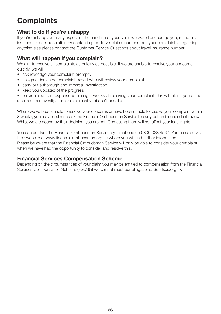### **Complaints**

#### **What to do if you're unhappy**

If you're unhappy with any aspect of the handling of your claim we would encourage you, in the first instance, to seek resolution by contacting the Travel claims number; or if your complaint is regarding anything else please contact the Customer Service Questions about travel insurance number.

#### **What will happen if you complain?**

We aim to resolve all complaints as quickly as possible. If we are unable to resolve your concerns quickly, we will:

- acknowledge your complaint promptly
- assign a dedicated complaint expert who will review your complaint
- carry out a thorough and impartial investigation
- keep you updated of the progress

• provide a written response within eight weeks of receiving your complaint, this will inform you of the results of our investigation or explain why this isn't possible.

Where we've been unable to resolve your concerns or have been unable to resolve your complaint within 8 weeks, you may be able to ask the Financial Ombudsman Service to carry out an independent review. Whilst we are bound by their decision, you are not. Contacting them will not affect your legal rights.

You can contact the Financial Ombudsman Service by telephone on 0800 023 4567. You can also visit their website at www.financial-ombudsman.org.uk where you will find further information. Please be aware that the Financial Ombudsman Service will only be able to consider your complaint when we have had the opportunity to consider and resolve this.

#### **Financial Services Compensation Scheme**

Depending on the circumstances of your claim you may be entitled to compensation from the Financial Services Compensation Scheme (FSCS) if we cannot meet our obligations. See fscs.org.uk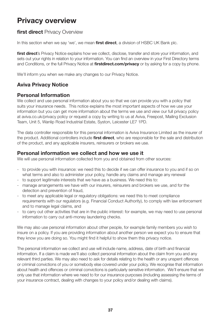### **Privacy overview**

#### **first direct** Privacy Overview

In this section when we say 'we', we mean **first direct**, a division of HSBC UK Bank plc.

**first direct**'s Privacy Notice explains how we collect, disclose, transfer and store your information, and sets out your rights in relation to your information. You can find an overview in your First Directory terms and Conditions, or the full Privacy Notice at **firstdirect.com/privacy** or by asking for a copy by phone.

We'll inform you when we make any changes to our Privacy Notice.

#### **Aviva Privacy Notice**

#### **Personal Information**

We collect and use personal information about you so that we can provide you with a policy that suits your insurance needs. This notice explains the most important aspects of how we use your information but you can get more information about the terms we use and view our full privacy policy at aviva.co.uk/privacy policy or request a copy by writing to us at Aviva, Freepost, Mailing Exclusion Team, Unit 5, Wanlip Road Industrial Estate, Syston, Leicester LE7 1PD.

The data controller responsible for this personal information is Aviva Insurance Limited as the insurer of the product. Additional controllers include **first direct**, who are responsible for the sale and distribution of the product, and any applicable insurers, reinsurers or brokers we use.

#### **Personal information we collect and how we use it**

We will use personal information collected from you and obtained from other sources:

- to provide you with insurance: we need this to decide if we can offer insurance to you and if so on what terms and also to administer your policy, handle any claims and manage any renewal
- to support legitimate interests that we have as a business. We need this to:
- manage arrangements we have with our insurers, reinsurers and brokers we use, and for the detection and prevention of fraud,
- to meet any applicable legal or regulatory obligations: we need this to meet compliance requirements with our regulators (e.g. Financial Conduct Authority), to comply with law enforcement and to manage legal claims, and
- to carry out other activities that are in the public interest: for example, we may need to use personal information to carry out anti-money laundering checks.

We may also use personal information about other people, for example family members you wish to insure on a policy. If you are providing information about another person we expect you to ensure that they know you are doing so. You might find it helpful to show them this privacy notice.

The personal information we collect and use will include name, address, date of birth and financial information. If a claim is made we'll also collect personal information about the claim from you and any relevant third parties. We may also need to ask for details relating to the health or any unspent offences or criminal convictions of you or somebody else covered under your policy. We recognise that information about health and offences or criminal convictions is particularly sensitive information. We'll ensure that we only use that information where we need to for our insurance purposes (including assessing the terms of your insurance contract, dealing with changes to your policy and/or dealing with claims).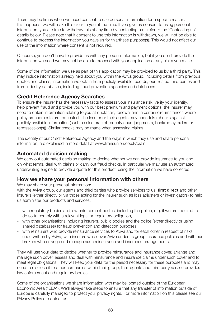There may be times when we need consent to use personal information for a specific reason. If this happens, we will make this clear to you at the time. If you give us consent to using personal information, you are free to withdraw this at any time by contacting us – refer to the 'Contacting us' details below. Please note that if consent to use this information is withdrawn, we will not be able to continue to process the information you gave us for this/these purpose(s). This would not affect our use of the information where consent is not required.

Of course, you don't have to provide us with any personal information, but if you don't provide the information we need we may not be able to proceed with your application or any claim you make.

Some of the information we use as part of this application may be provided to us by a third party. This may include information already held about you within the Aviva group, including details from previous quotes and claims, information we obtain from publicly available records, our trusted third parties and from industry databases, including fraud prevention agencies and databases.

#### **Credit Reference Agency Searches**

To ensure the Insurer has the necessary facts to assess your insurance risk, verify your identity, help prevent fraud and provide you with our best premium and payment options, the Insurer may need to obtain information relating to you at quotation, renewal and in certain circumstances where policy amendments are requested. The Insurer or their agents may undertake checks against publicly available information (such as electoral roll, county court judgments, bankruptcy orders or repossession(s)). Similar checks may be made when assessing claims.

The identity of our Credit Reference Agency and the ways in which they use and share personal information, are explained in more detail at www.transunion.co.uk/crain

#### **Automated decision making**

We carry out automated decision making to decide whether we can provide insurance to you and on what terms, deal with claims or carry out fraud checks. In particular we may use an automated underwriting engine to provide a quote for this product, using the information we have collected.

#### **How we share your personal information with others**

We may share your personal information:

with the Aviva group, our agents and third parties who provide services to us, **first direct** and other insurers (either directly or via those acting for the insurer such as loss adjusters or investigators) to help us administer our products and services,

- with regulatory bodies and law enforcement bodies, including the police, e.g. if we are required to do so to comply with a relevant legal or regulatory obligation,
- with other organisations including insurers, public bodies and the police (either directly or using shared databases) for fraud prevention and detection purposes,
- with reinsurers who provide reinsurance services to Aviva and for each other in respect of risks underwritten by Aviva, with insurers who cover Aviva under its group insurance policies and with our brokers who arrange and manage such reinsurance and insurance arrangements.

They will use your data to decide whether to provide reinsurance and insurance cover, arrange and manage such cover, assess and deal with reinsurance and insurance claims under such cover and to meet legal obligations. They will keep your data for the period necessary for these purposes and may need to disclose it to other companies within their group, their agents and third party service providers, law enforcement and regulatory bodies.

Some of the organisations we share information with may be located outside of the European Economic Area ("EEA"). We'll always take steps to ensure that any transfer of information outside of Europe is carefully managed to protect your privacy rights. For more information on this please see our Privacy Policy or contact us.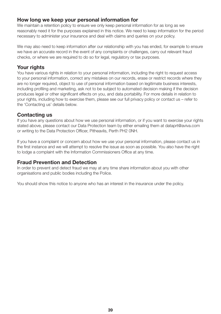#### **How long we keep your personal information for**

We maintain a retention policy to ensure we only keep personal information for as long as we reasonably need it for the purposes explained in this notice. We need to keep information for the period necessary to administer your insurance and deal with claims and queries on your policy.

We may also need to keep information after our relationship with you has ended, for example to ensure we have an accurate record in the event of any complaints or challenges, carry out relevant fraud checks, or where we are required to do so for legal, regulatory or tax purposes.

#### **Your rights**

You have various rights in relation to your personal information, including the right to request access to your personal information, correct any mistakes on our records, erase or restrict records where they are no longer required, object to use of personal information based on legitimate business interests, including profiling and marketing, ask not to be subject to automated decision making if the decision produces legal or other significant effects on you, and data portability. For more details in relation to your rights, including how to exercise them, please see our full privacy policy or contact us – refer to the 'Contacting us' details below.

#### **Contacting us**

If you have any questions about how we use personal information, or if you want to exercise your rights stated above, please contact our Data Protection team by either emailing them at dataprt@aviva.com or writing to the Data Protection Officer, Pitheavlis, Perth PH2 0NH.

If you have a complaint or concern about how we use your personal information, please contact us in the first instance and we will attempt to resolve the issue as soon as possible. You also have the right to lodge a complaint with the Information Commissioners Office at any time.

#### **Fraud Prevention and Detection**

In order to prevent and detect fraud we may at any time share information about you with other organisations and public bodies including the Police.

You should show this notice to anyone who has an interest in the insurance under the policy.